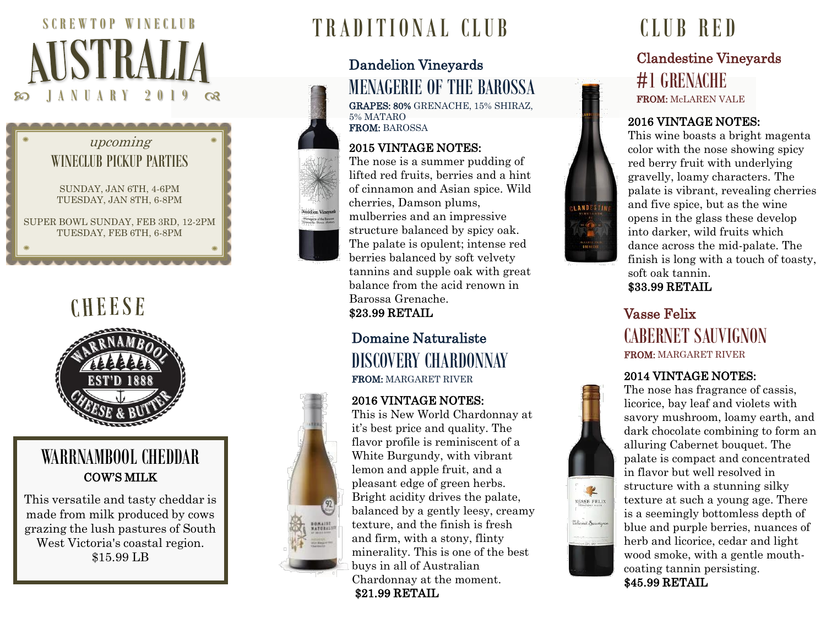





# WARRNAMBOOL CHEDDAR COW'S MILK

This versatile and tasty cheddar is made from milk produced by cows grazing the lush pastures of South West Victoria's coastal region. \$15.99 LB

# TRADITIONAL CLUB CLUB RED

## Dandelion Vineyards MENAGERIE OF THE BAROSSA GRAPES: 80% GRENACHE, 15% SHIRAZ,

5% MATARO FROM: BAROSSA

### 2015 VINTAGE NOTES:

The nose is a summer pudding of lifted red fruits, berries and a hint of cinnamon and Asian spice. Wild cherries, Damson plums, mulberries and an impressive structure balanced by spicy oak. The palate is opulent; intense red berries balanced by soft velvety tannins and supple oak with great balance from the acid renown in Barossa Grenache. \$23.99 RETAIL

### Domaine Naturaliste DISCOVERY CHARDONNAY FROM: MARGARET RIVER

### 2016 VINTAGE NOTES:

NONAINE

This is New World Chardonnay at it's best price and quality. The flavor profile is reminiscent of a White Burgundy, with vibrant lemon and apple fruit, and a pleasant edge of green herbs. Bright acidity drives the palate, balanced by a gently leesy, creamy texture, and the finish is fresh and firm, with a stony, flinty minerality. This is one of the best buys in all of Australian Chardonnay at the moment. \$21.99 RETAIL

# Clandestine Vineyards #1 GRENACHE FROM: McLAREN VALE

### 2016 VINTAGE NOTES:

This wine boasts a bright magenta color with the nose showing spicy red berry fruit with underlying gravelly, loamy characters. The palate is vibrant, revealing cherries and five spice, but as the wine opens in the glass these develop into darker, wild fruits which dance across the mid -palate. The finish is long with a touch of toasty, soft oak tannin. \$33.99 RETAIL

# Vasse Felix CABERNET SAUVIGNON FROM: MARGARET RIVER

### 2014 VINTAGE NOTES:



LANDESTIN



The nose has fragrance of cassis, licorice, bay leaf and violets with savory mushroom, loamy earth, and dark chocolate combining to form an alluring Cabernet bouquet. The palate is compact and concentrated in flavor but well resolved in structure with a stunning silky texture at such a young age. There is a seemingly bottomless depth of blue and purple berries, nuances of herb and licorice, cedar and light wood smoke, with a gentle mouth coating tannin persisting. \$45.99 RETAIL